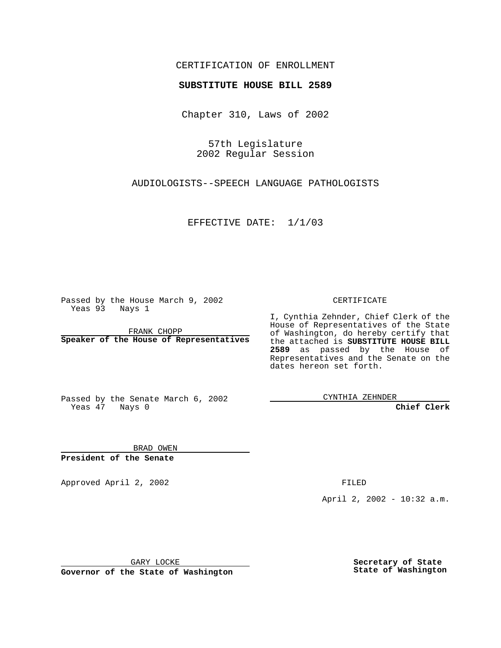#### CERTIFICATION OF ENROLLMENT

# **SUBSTITUTE HOUSE BILL 2589**

Chapter 310, Laws of 2002

57th Legislature 2002 Regular Session

AUDIOLOGISTS--SPEECH LANGUAGE PATHOLOGISTS

EFFECTIVE DATE: 1/1/03

Passed by the House March 9, 2002 Yeas 93 Nays 1

FRANK CHOPP **Speaker of the House of Representatives** CERTIFICATE

I, Cynthia Zehnder, Chief Clerk of the House of Representatives of the State of Washington, do hereby certify that the attached is **SUBSTITUTE HOUSE BILL 2589** as passed by the House of Representatives and the Senate on the dates hereon set forth.

Passed by the Senate March 6, 2002 Yeas 47 Nays 0

CYNTHIA ZEHNDER

**Chief Clerk**

BRAD OWEN **President of the Senate**

Approved April 2, 2002 **FILED** 

April 2, 2002 - 10:32 a.m.

GARY LOCKE

**Governor of the State of Washington**

**Secretary of State State of Washington**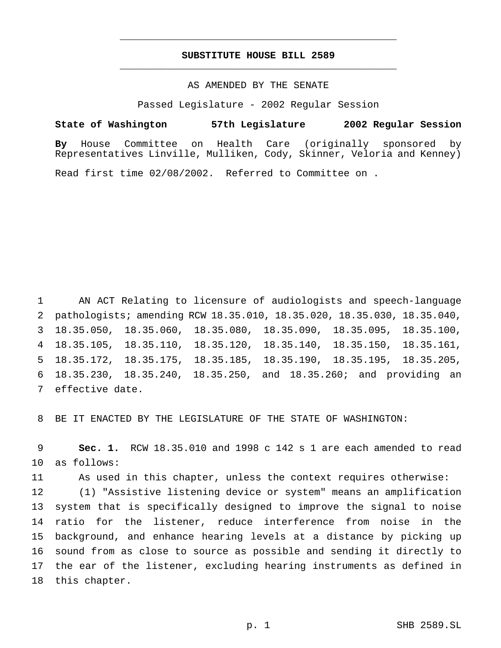## **SUBSTITUTE HOUSE BILL 2589** \_\_\_\_\_\_\_\_\_\_\_\_\_\_\_\_\_\_\_\_\_\_\_\_\_\_\_\_\_\_\_\_\_\_\_\_\_\_\_\_\_\_\_\_\_\_\_

\_\_\_\_\_\_\_\_\_\_\_\_\_\_\_\_\_\_\_\_\_\_\_\_\_\_\_\_\_\_\_\_\_\_\_\_\_\_\_\_\_\_\_\_\_\_\_

#### AS AMENDED BY THE SENATE

Passed Legislature - 2002 Regular Session

**State of Washington 57th Legislature 2002 Regular Session By** House Committee on Health Care (originally sponsored by Representatives Linville, Mulliken, Cody, Skinner, Veloria and Kenney)

Read first time 02/08/2002. Referred to Committee on .

 AN ACT Relating to licensure of audiologists and speech-language pathologists; amending RCW 18.35.010, 18.35.020, 18.35.030, 18.35.040, 18.35.050, 18.35.060, 18.35.080, 18.35.090, 18.35.095, 18.35.100, 18.35.105, 18.35.110, 18.35.120, 18.35.140, 18.35.150, 18.35.161, 18.35.172, 18.35.175, 18.35.185, 18.35.190, 18.35.195, 18.35.205, 18.35.230, 18.35.240, 18.35.250, and 18.35.260; and providing an effective date.

BE IT ENACTED BY THE LEGISLATURE OF THE STATE OF WASHINGTON:

 **Sec. 1.** RCW 18.35.010 and 1998 c 142 s 1 are each amended to read as follows:

As used in this chapter, unless the context requires otherwise:

 (1) "Assistive listening device or system" means an amplification system that is specifically designed to improve the signal to noise ratio for the listener, reduce interference from noise in the background, and enhance hearing levels at a distance by picking up sound from as close to source as possible and sending it directly to the ear of the listener, excluding hearing instruments as defined in this chapter.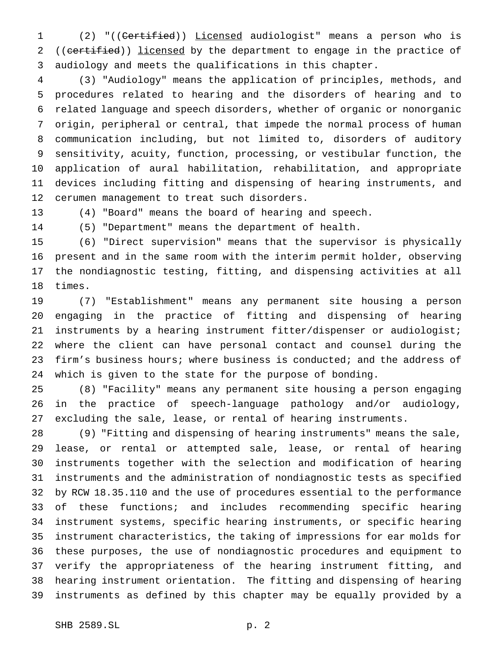(2) "((Certified)) Licensed audiologist" means a person who is 2 ((certified)) licensed by the department to engage in the practice of audiology and meets the qualifications in this chapter.

 (3) "Audiology" means the application of principles, methods, and procedures related to hearing and the disorders of hearing and to related language and speech disorders, whether of organic or nonorganic origin, peripheral or central, that impede the normal process of human communication including, but not limited to, disorders of auditory sensitivity, acuity, function, processing, or vestibular function, the application of aural habilitation, rehabilitation, and appropriate devices including fitting and dispensing of hearing instruments, and cerumen management to treat such disorders.

(4) "Board" means the board of hearing and speech.

(5) "Department" means the department of health.

 (6) "Direct supervision" means that the supervisor is physically present and in the same room with the interim permit holder, observing the nondiagnostic testing, fitting, and dispensing activities at all times.

 (7) "Establishment" means any permanent site housing a person engaging in the practice of fitting and dispensing of hearing instruments by a hearing instrument fitter/dispenser or audiologist; where the client can have personal contact and counsel during the 23 firm's business hours; where business is conducted; and the address of which is given to the state for the purpose of bonding.

 (8) "Facility" means any permanent site housing a person engaging in the practice of speech-language pathology and/or audiology, excluding the sale, lease, or rental of hearing instruments.

 (9) "Fitting and dispensing of hearing instruments" means the sale, lease, or rental or attempted sale, lease, or rental of hearing instruments together with the selection and modification of hearing instruments and the administration of nondiagnostic tests as specified by RCW 18.35.110 and the use of procedures essential to the performance of these functions; and includes recommending specific hearing instrument systems, specific hearing instruments, or specific hearing instrument characteristics, the taking of impressions for ear molds for these purposes, the use of nondiagnostic procedures and equipment to verify the appropriateness of the hearing instrument fitting, and hearing instrument orientation. The fitting and dispensing of hearing instruments as defined by this chapter may be equally provided by a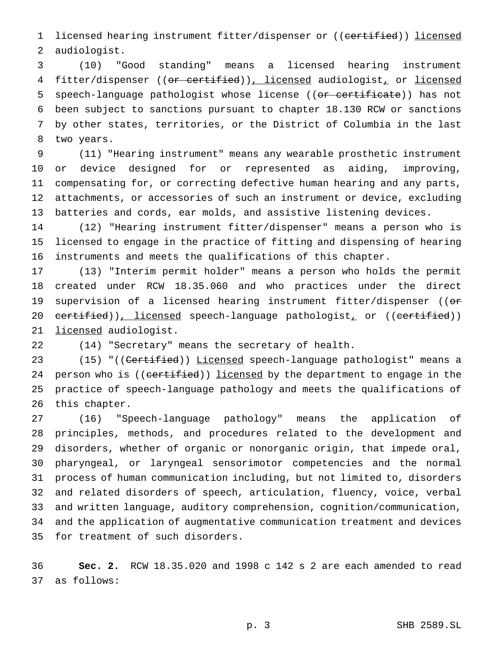1 licensed hearing instrument fitter/dispenser or ((certified)) licensed audiologist.

 (10) "Good standing" means a licensed hearing instrument 4 fitter/dispenser ((or certified)), licensed audiologist, or licensed 5 speech-language pathologist whose license ((or certificate)) has not been subject to sanctions pursuant to chapter 18.130 RCW or sanctions by other states, territories, or the District of Columbia in the last two years.

 (11) "Hearing instrument" means any wearable prosthetic instrument or device designed for or represented as aiding, improving, compensating for, or correcting defective human hearing and any parts, attachments, or accessories of such an instrument or device, excluding batteries and cords, ear molds, and assistive listening devices.

 (12) "Hearing instrument fitter/dispenser" means a person who is licensed to engage in the practice of fitting and dispensing of hearing instruments and meets the qualifications of this chapter.

 (13) "Interim permit holder" means a person who holds the permit created under RCW 18.35.060 and who practices under the direct 19 supervision of a licensed hearing instrument fitter/dispenser ((or 20 certified)), licensed speech-language pathologist, or ((certified)) 21 licensed audiologist.

(14) "Secretary" means the secretary of health.

23 (15) "((Certified)) Licensed speech-language pathologist" means a 24 person who is ((certified)) licensed by the department to engage in the practice of speech-language pathology and meets the qualifications of this chapter.

 (16) "Speech-language pathology" means the application of principles, methods, and procedures related to the development and disorders, whether of organic or nonorganic origin, that impede oral, pharyngeal, or laryngeal sensorimotor competencies and the normal process of human communication including, but not limited to, disorders and related disorders of speech, articulation, fluency, voice, verbal and written language, auditory comprehension, cognition/communication, and the application of augmentative communication treatment and devices for treatment of such disorders.

 **Sec. 2.** RCW 18.35.020 and 1998 c 142 s 2 are each amended to read as follows: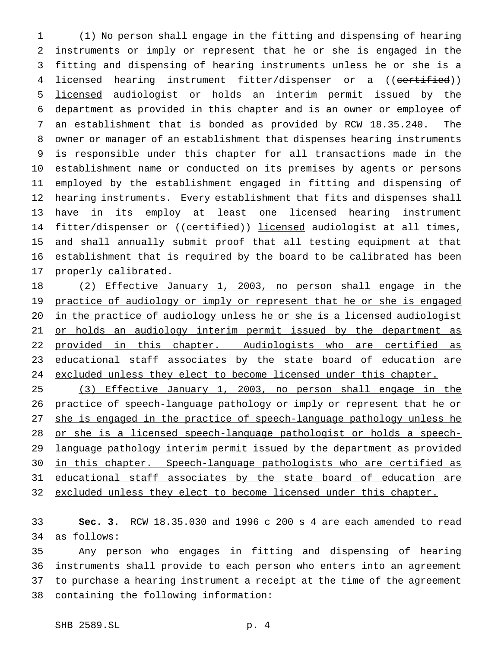(1) No person shall engage in the fitting and dispensing of hearing instruments or imply or represent that he or she is engaged in the fitting and dispensing of hearing instruments unless he or she is a 4 licensed hearing instrument fitter/dispenser or a ((certified)) licensed audiologist or holds an interim permit issued by the department as provided in this chapter and is an owner or employee of an establishment that is bonded as provided by RCW 18.35.240. The owner or manager of an establishment that dispenses hearing instruments is responsible under this chapter for all transactions made in the establishment name or conducted on its premises by agents or persons employed by the establishment engaged in fitting and dispensing of hearing instruments. Every establishment that fits and dispenses shall have in its employ at least one licensed hearing instrument 14 fitter/dispenser or ((certified)) licensed audiologist at all times, and shall annually submit proof that all testing equipment at that establishment that is required by the board to be calibrated has been properly calibrated.

 (2) Effective January 1, 2003, no person shall engage in the 19 practice of audiology or imply or represent that he or she is engaged in the practice of audiology unless he or she is a licensed audiologist 21 or holds an audiology interim permit issued by the department as 22 provided in this chapter. Audiologists who are certified as 23 educational staff associates by the state board of education are 24 excluded unless they elect to become licensed under this chapter.

 (3) Effective January 1, 2003, no person shall engage in the practice of speech-language pathology or imply or represent that he or 27 she is engaged in the practice of speech-language pathology unless he or she is a licensed speech-language pathologist or holds a speech- language pathology interim permit issued by the department as provided in this chapter. Speech-language pathologists who are certified as 31 educational staff associates by the state board of education are 32 excluded unless they elect to become licensed under this chapter.

 **Sec. 3.** RCW 18.35.030 and 1996 c 200 s 4 are each amended to read as follows:

 Any person who engages in fitting and dispensing of hearing instruments shall provide to each person who enters into an agreement to purchase a hearing instrument a receipt at the time of the agreement containing the following information: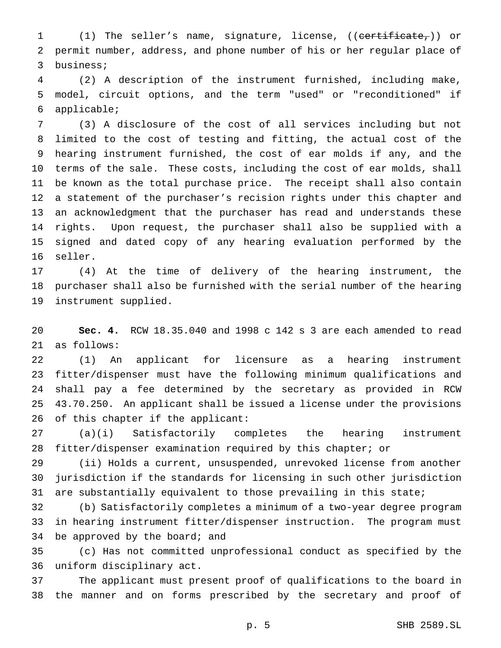(1) The seller's name, signature, license, ((certificate,)) or permit number, address, and phone number of his or her regular place of business;

 (2) A description of the instrument furnished, including make, model, circuit options, and the term "used" or "reconditioned" if applicable;

 (3) A disclosure of the cost of all services including but not limited to the cost of testing and fitting, the actual cost of the hearing instrument furnished, the cost of ear molds if any, and the terms of the sale. These costs, including the cost of ear molds, shall be known as the total purchase price. The receipt shall also contain a statement of the purchaser's recision rights under this chapter and an acknowledgment that the purchaser has read and understands these rights. Upon request, the purchaser shall also be supplied with a signed and dated copy of any hearing evaluation performed by the seller.

 (4) At the time of delivery of the hearing instrument, the purchaser shall also be furnished with the serial number of the hearing instrument supplied.

 **Sec. 4.** RCW 18.35.040 and 1998 c 142 s 3 are each amended to read as follows:

 (1) An applicant for licensure as a hearing instrument fitter/dispenser must have the following minimum qualifications and shall pay a fee determined by the secretary as provided in RCW 43.70.250. An applicant shall be issued a license under the provisions of this chapter if the applicant:

 (a)(i) Satisfactorily completes the hearing instrument fitter/dispenser examination required by this chapter; or

 (ii) Holds a current, unsuspended, unrevoked license from another jurisdiction if the standards for licensing in such other jurisdiction are substantially equivalent to those prevailing in this state;

 (b) Satisfactorily completes a minimum of a two-year degree program in hearing instrument fitter/dispenser instruction. The program must 34 be approved by the board; and

 (c) Has not committed unprofessional conduct as specified by the uniform disciplinary act.

 The applicant must present proof of qualifications to the board in the manner and on forms prescribed by the secretary and proof of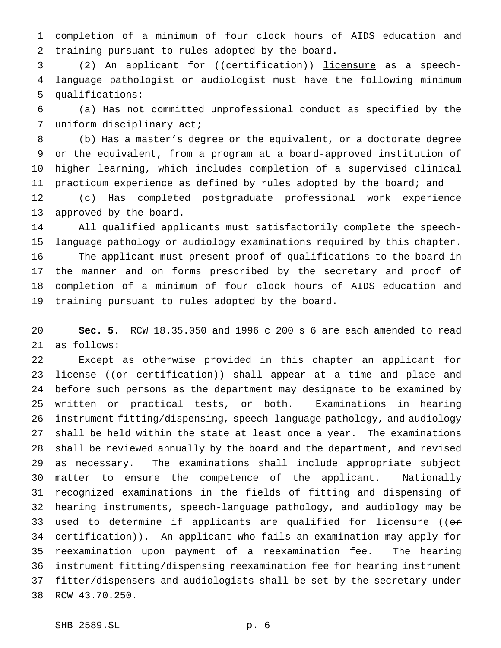completion of a minimum of four clock hours of AIDS education and training pursuant to rules adopted by the board.

 (2) An applicant for ((certification)) licensure as a speech- language pathologist or audiologist must have the following minimum qualifications:

 (a) Has not committed unprofessional conduct as specified by the uniform disciplinary act;

 (b) Has a master's degree or the equivalent, or a doctorate degree or the equivalent, from a program at a board-approved institution of higher learning, which includes completion of a supervised clinical practicum experience as defined by rules adopted by the board; and

 (c) Has completed postgraduate professional work experience approved by the board.

 All qualified applicants must satisfactorily complete the speech- language pathology or audiology examinations required by this chapter. The applicant must present proof of qualifications to the board in the manner and on forms prescribed by the secretary and proof of completion of a minimum of four clock hours of AIDS education and training pursuant to rules adopted by the board.

 **Sec. 5.** RCW 18.35.050 and 1996 c 200 s 6 are each amended to read as follows:

 Except as otherwise provided in this chapter an applicant for 23 license ((or certification)) shall appear at a time and place and before such persons as the department may designate to be examined by written or practical tests, or both. Examinations in hearing instrument fitting/dispensing, speech-language pathology, and audiology shall be held within the state at least once a year. The examinations shall be reviewed annually by the board and the department, and revised as necessary. The examinations shall include appropriate subject matter to ensure the competence of the applicant. Nationally recognized examinations in the fields of fitting and dispensing of hearing instruments, speech-language pathology, and audiology may be 33 used to determine if applicants are qualified for licensure ((or 34 certification)). An applicant who fails an examination may apply for reexamination upon payment of a reexamination fee. The hearing instrument fitting/dispensing reexamination fee for hearing instrument fitter/dispensers and audiologists shall be set by the secretary under RCW 43.70.250.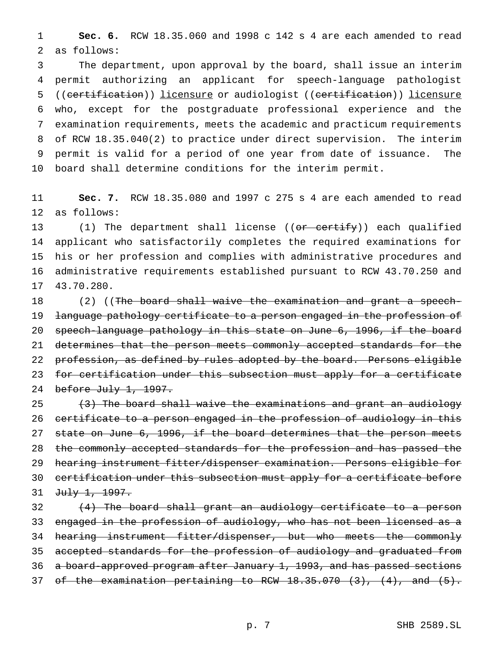**Sec. 6.** RCW 18.35.060 and 1998 c 142 s 4 are each amended to read as follows:

 The department, upon approval by the board, shall issue an interim permit authorizing an applicant for speech-language pathologist ((certification)) licensure or audiologist ((certification)) licensure who, except for the postgraduate professional experience and the examination requirements, meets the academic and practicum requirements of RCW 18.35.040(2) to practice under direct supervision. The interim permit is valid for a period of one year from date of issuance. The board shall determine conditions for the interim permit.

 **Sec. 7.** RCW 18.35.080 and 1997 c 275 s 4 are each amended to read as follows:

13 (1) The department shall license ((or certify)) each qualified applicant who satisfactorily completes the required examinations for his or her profession and complies with administrative procedures and administrative requirements established pursuant to RCW 43.70.250 and 43.70.280.

18 (2) ((The board shall waive the examination and grant a speech- language pathology certificate to a person engaged in the profession of 20 speech-language pathology in this state on June 6, 1996, if the board 21 determines that the person meets commonly accepted standards for the 22 profession, as defined by rules adopted by the board. Persons eligible for certification under this subsection must apply for a certificate 24 before July 1, 1997.

25 (3) The board shall waive the examinations and grant an audiology 26 certificate to a person engaged in the profession of audiology in this 27 state on June 6, 1996, if the board determines that the person meets the commonly accepted standards for the profession and has passed the hearing instrument fitter/dispenser examination. Persons eligible for 30 certification under this subsection must apply for a certificate before 31 July 1, 1997.

 (4) The board shall grant an audiology certificate to a person 33 engaged in the profession of audiology, who has not been licensed as a 34 hearing instrument fitter/dispenser, but who meets the commonly accepted standards for the profession of audiology and graduated from a board-approved program after January 1, 1993, and has passed sections of the examination pertaining to RCW 18.35.070 (3), (4), and (5).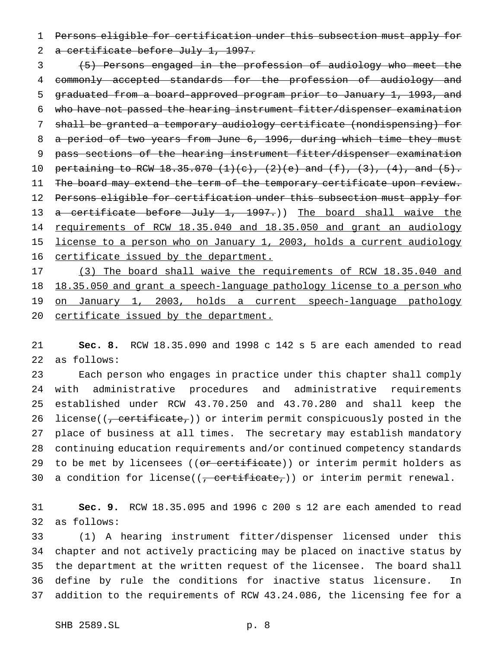Persons eligible for certification under this subsection must apply for

2 a certificate before July 1, 1997.

 (5) Persons engaged in the profession of audiology who meet the commonly accepted standards for the profession of audiology and graduated from a board-approved program prior to January 1, 1993, and who have not passed the hearing instrument fitter/dispenser examination shall be granted a temporary audiology certificate (nondispensing) for a period of two years from June 6, 1996, during which time they must pass sections of the hearing instrument fitter/dispenser examination 10 pertaining to RCW 18.35.070  $(1)(c)$ ,  $(2)(e)$  and  $(f)$ ,  $(3)$ ,  $(4)$ , and  $(5)$ . 11 The board may extend the term of the temporary certificate upon review. 12 Persons eligible for certification under this subsection must apply for 13 a certificate before July 1, 1997.)) The board shall waive the 14 requirements of RCW 18.35.040 and 18.35.050 and grant an audiology 15 license to a person who on January 1, 2003, holds a current audiology 16 certificate issued by the department.

17 (3) The board shall waive the requirements of RCW 18.35.040 and 18 18.35.050 and grant a speech-language pathology license to a person who on January 1, 2003, holds a current speech-language pathology 20 certificate issued by the department.

 **Sec. 8.** RCW 18.35.090 and 1998 c 142 s 5 are each amended to read as follows:

 Each person who engages in practice under this chapter shall comply with administrative procedures and administrative requirements established under RCW 43.70.250 and 43.70.280 and shall keep the 26 license((, certificate,)) or interim permit conspicuously posted in the place of business at all times. The secretary may establish mandatory continuing education requirements and/or continued competency standards 29 to be met by licensees ((or certificate)) or interim permit holders as 30 a condition for license( $(-$  certificate,)) or interim permit renewal.

 **Sec. 9.** RCW 18.35.095 and 1996 c 200 s 12 are each amended to read as follows:

 (1) A hearing instrument fitter/dispenser licensed under this chapter and not actively practicing may be placed on inactive status by the department at the written request of the licensee. The board shall define by rule the conditions for inactive status licensure. In addition to the requirements of RCW 43.24.086, the licensing fee for a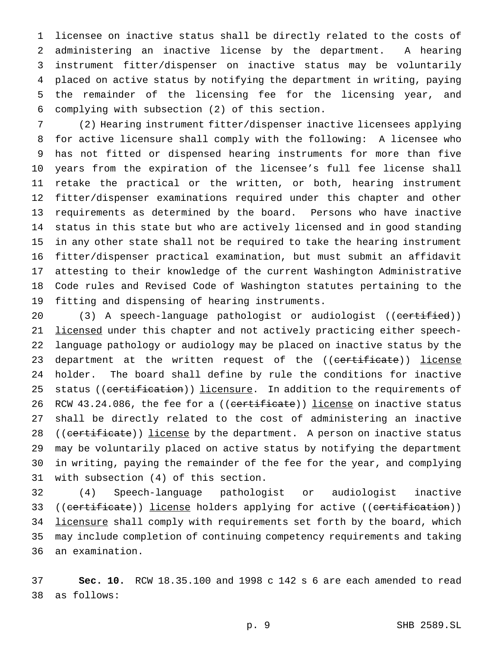licensee on inactive status shall be directly related to the costs of administering an inactive license by the department. A hearing instrument fitter/dispenser on inactive status may be voluntarily placed on active status by notifying the department in writing, paying the remainder of the licensing fee for the licensing year, and complying with subsection (2) of this section.

 (2) Hearing instrument fitter/dispenser inactive licensees applying for active licensure shall comply with the following: A licensee who has not fitted or dispensed hearing instruments for more than five years from the expiration of the licensee's full fee license shall retake the practical or the written, or both, hearing instrument fitter/dispenser examinations required under this chapter and other requirements as determined by the board. Persons who have inactive status in this state but who are actively licensed and in good standing in any other state shall not be required to take the hearing instrument fitter/dispenser practical examination, but must submit an affidavit attesting to their knowledge of the current Washington Administrative Code rules and Revised Code of Washington statutes pertaining to the fitting and dispensing of hearing instruments.

20 (3) A speech-language pathologist or audiologist ((certified)) 21 licensed under this chapter and not actively practicing either speech- language pathology or audiology may be placed on inactive status by the 23 department at the written request of the ((certificate)) license holder. The board shall define by rule the conditions for inactive 25 status ((certification)) licensure. In addition to the requirements of 26 RCW 43.24.086, the fee for a ((certificate)) license on inactive status shall be directly related to the cost of administering an inactive 28 ((certificate)) license by the department. A person on inactive status may be voluntarily placed on active status by notifying the department in writing, paying the remainder of the fee for the year, and complying with subsection (4) of this section.

 (4) Speech-language pathologist or audiologist inactive 33 ((certificate)) license holders applying for active ((certification)) 34 licensure shall comply with requirements set forth by the board, which may include completion of continuing competency requirements and taking an examination.

 **Sec. 10.** RCW 18.35.100 and 1998 c 142 s 6 are each amended to read as follows: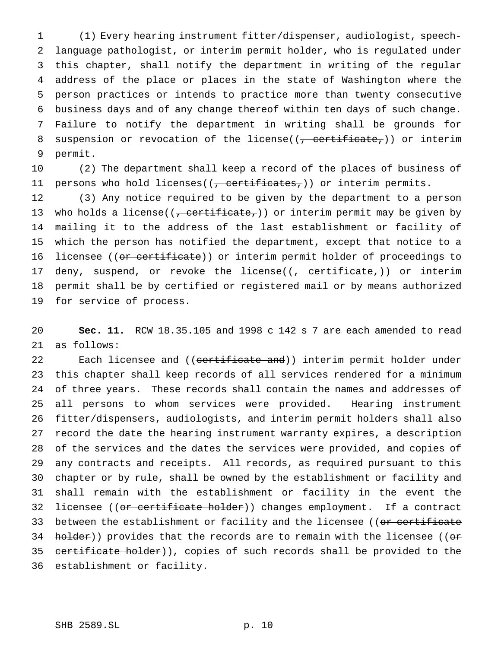(1) Every hearing instrument fitter/dispenser, audiologist, speech- language pathologist, or interim permit holder, who is regulated under this chapter, shall notify the department in writing of the regular address of the place or places in the state of Washington where the person practices or intends to practice more than twenty consecutive business days and of any change thereof within ten days of such change. Failure to notify the department in writing shall be grounds for 8 suspension or revocation of the license( $(-$  certificate,)) or interim permit.

 (2) The department shall keep a record of the places of business of 11 persons who hold licenses((<del>, certificates,</del>)) or interim permits.

 (3) Any notice required to be given by the department to a person 13 who holds a license( $(-$  certificate,)) or interim permit may be given by mailing it to the address of the last establishment or facility of which the person has notified the department, except that notice to a 16 licensee ((or certificate)) or interim permit holder of proceedings to 17 deny, suspend, or revoke the license( $(-$  certificate,)) or interim permit shall be by certified or registered mail or by means authorized for service of process.

 **Sec. 11.** RCW 18.35.105 and 1998 c 142 s 7 are each amended to read as follows:

22 Each licensee and ((certificate and)) interim permit holder under this chapter shall keep records of all services rendered for a minimum of three years. These records shall contain the names and addresses of all persons to whom services were provided. Hearing instrument fitter/dispensers, audiologists, and interim permit holders shall also record the date the hearing instrument warranty expires, a description of the services and the dates the services were provided, and copies of any contracts and receipts. All records, as required pursuant to this chapter or by rule, shall be owned by the establishment or facility and shall remain with the establishment or facility in the event the 32 licensee ((<del>or certificate holder</del>)) changes employment. If a contract 33 between the establishment or facility and the licensee ((or certificate  $h$ older)) provides that the records are to remain with the licensee ((or 35 certificate holder)), copies of such records shall be provided to the establishment or facility.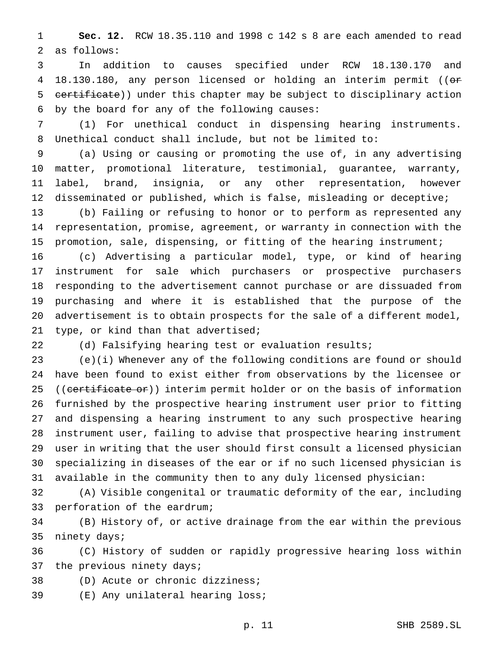**Sec. 12.** RCW 18.35.110 and 1998 c 142 s 8 are each amended to read as follows:

 In addition to causes specified under RCW 18.130.170 and 4 18.130.180, any person licensed or holding an interim permit ((or 5 certificate)) under this chapter may be subject to disciplinary action by the board for any of the following causes:

 (1) For unethical conduct in dispensing hearing instruments. Unethical conduct shall include, but not be limited to:

 (a) Using or causing or promoting the use of, in any advertising matter, promotional literature, testimonial, guarantee, warranty, label, brand, insignia, or any other representation, however disseminated or published, which is false, misleading or deceptive;

 (b) Failing or refusing to honor or to perform as represented any representation, promise, agreement, or warranty in connection with the promotion, sale, dispensing, or fitting of the hearing instrument;

 (c) Advertising a particular model, type, or kind of hearing instrument for sale which purchasers or prospective purchasers responding to the advertisement cannot purchase or are dissuaded from purchasing and where it is established that the purpose of the advertisement is to obtain prospects for the sale of a different model, type, or kind than that advertised;

(d) Falsifying hearing test or evaluation results;

 (e)(i) Whenever any of the following conditions are found or should have been found to exist either from observations by the licensee or 25 ((certificate or)) interim permit holder or on the basis of information furnished by the prospective hearing instrument user prior to fitting and dispensing a hearing instrument to any such prospective hearing instrument user, failing to advise that prospective hearing instrument user in writing that the user should first consult a licensed physician specializing in diseases of the ear or if no such licensed physician is available in the community then to any duly licensed physician:

 (A) Visible congenital or traumatic deformity of the ear, including perforation of the eardrum;

 (B) History of, or active drainage from the ear within the previous ninety days;

 (C) History of sudden or rapidly progressive hearing loss within 37 the previous ninety days;

(D) Acute or chronic dizziness;

(E) Any unilateral hearing loss;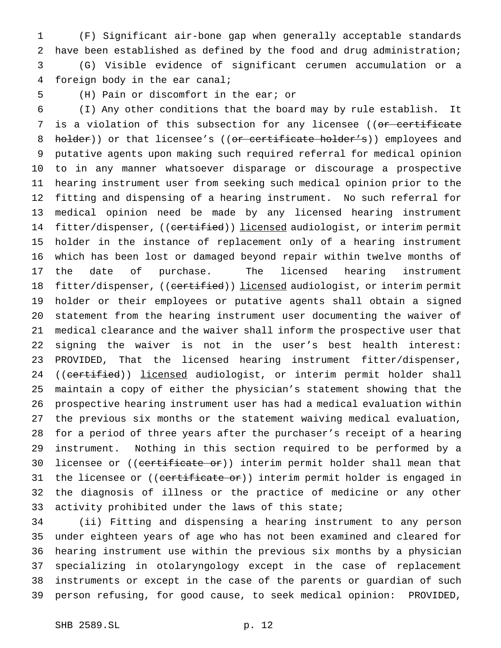(F) Significant air-bone gap when generally acceptable standards have been established as defined by the food and drug administration; (G) Visible evidence of significant cerumen accumulation or a foreign body in the ear canal;

## (H) Pain or discomfort in the ear; or

 (I) Any other conditions that the board may by rule establish. It 7 is a violation of this subsection for any licensee ((or certificate 8 holder)) or that licensee's ((or certificate holder's)) employees and putative agents upon making such required referral for medical opinion to in any manner whatsoever disparage or discourage a prospective hearing instrument user from seeking such medical opinion prior to the fitting and dispensing of a hearing instrument. No such referral for medical opinion need be made by any licensed hearing instrument 14 fitter/dispenser, ((certified)) licensed audiologist, or interim permit holder in the instance of replacement only of a hearing instrument which has been lost or damaged beyond repair within twelve months of the date of purchase. The licensed hearing instrument 18 fitter/dispenser, ((certified)) licensed audiologist, or interim permit holder or their employees or putative agents shall obtain a signed statement from the hearing instrument user documenting the waiver of medical clearance and the waiver shall inform the prospective user that signing the waiver is not in the user's best health interest: PROVIDED, That the licensed hearing instrument fitter/dispenser, 24 ((certified)) licensed audiologist, or interim permit holder shall maintain a copy of either the physician's statement showing that the prospective hearing instrument user has had a medical evaluation within the previous six months or the statement waiving medical evaluation, for a period of three years after the purchaser's receipt of a hearing instrument. Nothing in this section required to be performed by a 30 licensee or ((certificate or)) interim permit holder shall mean that 31 the licensee or ((certificate or)) interim permit holder is engaged in the diagnosis of illness or the practice of medicine or any other activity prohibited under the laws of this state;

 (ii) Fitting and dispensing a hearing instrument to any person under eighteen years of age who has not been examined and cleared for hearing instrument use within the previous six months by a physician specializing in otolaryngology except in the case of replacement instruments or except in the case of the parents or guardian of such person refusing, for good cause, to seek medical opinion: PROVIDED,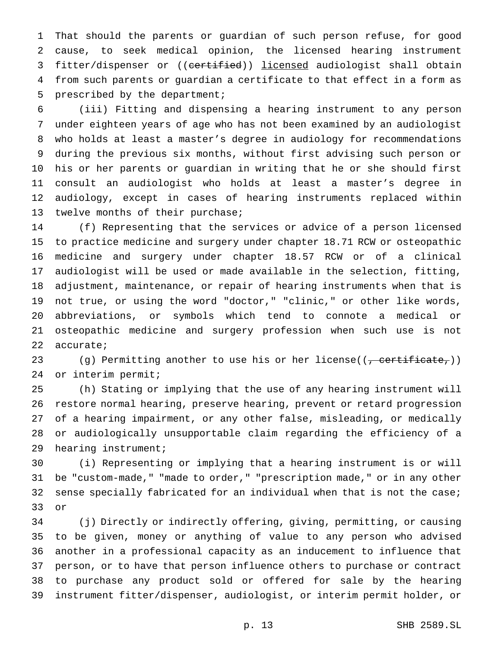That should the parents or guardian of such person refuse, for good cause, to seek medical opinion, the licensed hearing instrument 3 fitter/dispenser or ((certified)) licensed audiologist shall obtain from such parents or guardian a certificate to that effect in a form as prescribed by the department;

 (iii) Fitting and dispensing a hearing instrument to any person under eighteen years of age who has not been examined by an audiologist who holds at least a master's degree in audiology for recommendations during the previous six months, without first advising such person or his or her parents or guardian in writing that he or she should first consult an audiologist who holds at least a master's degree in audiology, except in cases of hearing instruments replaced within twelve months of their purchase;

 (f) Representing that the services or advice of a person licensed to practice medicine and surgery under chapter 18.71 RCW or osteopathic medicine and surgery under chapter 18.57 RCW or of a clinical audiologist will be used or made available in the selection, fitting, adjustment, maintenance, or repair of hearing instruments when that is not true, or using the word "doctor," "clinic," or other like words, abbreviations, or symbols which tend to connote a medical or osteopathic medicine and surgery profession when such use is not accurate;

23 (g) Permitting another to use his or her license( $(\tau,$  certificate,)) or interim permit;

 (h) Stating or implying that the use of any hearing instrument will restore normal hearing, preserve hearing, prevent or retard progression of a hearing impairment, or any other false, misleading, or medically or audiologically unsupportable claim regarding the efficiency of a hearing instrument;

 (i) Representing or implying that a hearing instrument is or will be "custom-made," "made to order," "prescription made," or in any other sense specially fabricated for an individual when that is not the case; or

 (j) Directly or indirectly offering, giving, permitting, or causing to be given, money or anything of value to any person who advised another in a professional capacity as an inducement to influence that person, or to have that person influence others to purchase or contract to purchase any product sold or offered for sale by the hearing instrument fitter/dispenser, audiologist, or interim permit holder, or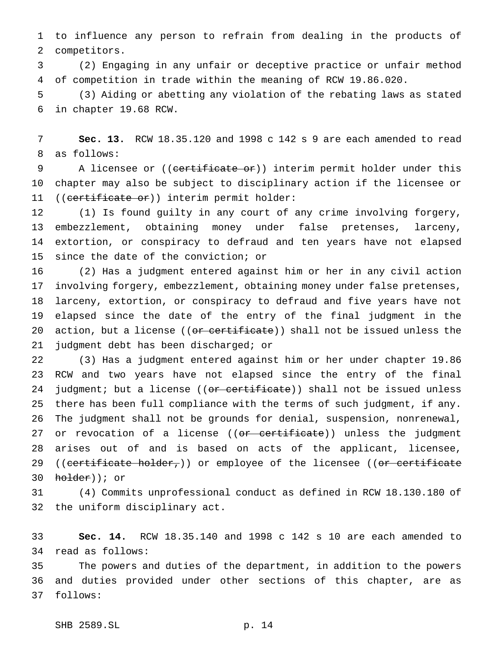to influence any person to refrain from dealing in the products of competitors.

 (2) Engaging in any unfair or deceptive practice or unfair method of competition in trade within the meaning of RCW 19.86.020.

 (3) Aiding or abetting any violation of the rebating laws as stated in chapter 19.68 RCW.

 **Sec. 13.** RCW 18.35.120 and 1998 c 142 s 9 are each amended to read as follows:

9 A licensee or ((<del>certificate or</del>)) interim permit holder under this chapter may also be subject to disciplinary action if the licensee or 11 ((certificate or)) interim permit holder:

 (1) Is found guilty in any court of any crime involving forgery, embezzlement, obtaining money under false pretenses, larceny, extortion, or conspiracy to defraud and ten years have not elapsed since the date of the conviction; or

 (2) Has a judgment entered against him or her in any civil action involving forgery, embezzlement, obtaining money under false pretenses, larceny, extortion, or conspiracy to defraud and five years have not elapsed since the date of the entry of the final judgment in the 20 action, but a license ((<del>or certificate</del>)) shall not be issued unless the judgment debt has been discharged; or

 (3) Has a judgment entered against him or her under chapter 19.86 RCW and two years have not elapsed since the entry of the final 24 judgment; but a license ((or certificate)) shall not be issued unless there has been full compliance with the terms of such judgment, if any. The judgment shall not be grounds for denial, suspension, nonrenewal, 27 or revocation of a license ((<del>or certificate</del>)) unless the judgment arises out of and is based on acts of the applicant, licensee, 29 ((certificate holder,)) or employee of the licensee ((or certificate holder)); or

 (4) Commits unprofessional conduct as defined in RCW 18.130.180 of the uniform disciplinary act.

 **Sec. 14.** RCW 18.35.140 and 1998 c 142 s 10 are each amended to read as follows:

 The powers and duties of the department, in addition to the powers and duties provided under other sections of this chapter, are as follows: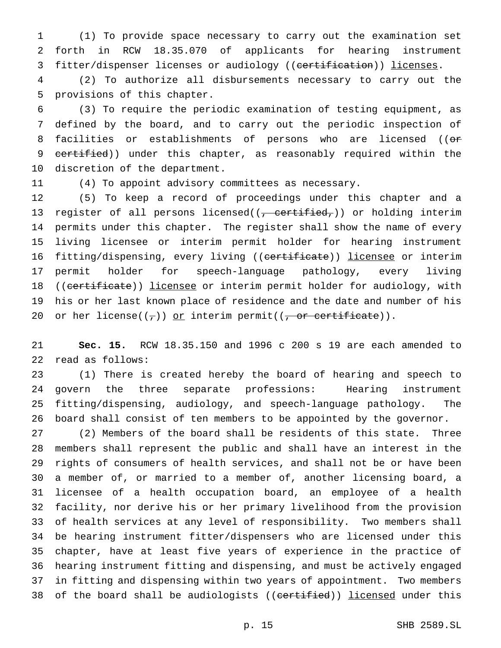(1) To provide space necessary to carry out the examination set forth in RCW 18.35.070 of applicants for hearing instrument 3 fitter/dispenser licenses or audiology ((certification)) licenses.

 (2) To authorize all disbursements necessary to carry out the provisions of this chapter.

 (3) To require the periodic examination of testing equipment, as defined by the board, and to carry out the periodic inspection of 8 facilities or establishments of persons who are licensed ((or 9 certified)) under this chapter, as reasonably required within the discretion of the department.

(4) To appoint advisory committees as necessary.

 (5) To keep a record of proceedings under this chapter and a 13 register of all persons licensed( $(-$  certified,)) or holding interim permits under this chapter. The register shall show the name of every living licensee or interim permit holder for hearing instrument 16 fitting/dispensing, every living ((certificate)) licensee or interim permit holder for speech-language pathology, every living 18 ((certificate)) licensee or interim permit holder for audiology, with his or her last known place of residence and the date and number of his 20 or her license( $(\tau)$ ) or interim permit( $(\tau)$  or certificate)).

 **Sec. 15.** RCW 18.35.150 and 1996 c 200 s 19 are each amended to read as follows:

 (1) There is created hereby the board of hearing and speech to govern the three separate professions: Hearing instrument fitting/dispensing, audiology, and speech-language pathology. The board shall consist of ten members to be appointed by the governor.

 (2) Members of the board shall be residents of this state. Three members shall represent the public and shall have an interest in the rights of consumers of health services, and shall not be or have been a member of, or married to a member of, another licensing board, a licensee of a health occupation board, an employee of a health facility, nor derive his or her primary livelihood from the provision of health services at any level of responsibility. Two members shall be hearing instrument fitter/dispensers who are licensed under this chapter, have at least five years of experience in the practice of hearing instrument fitting and dispensing, and must be actively engaged in fitting and dispensing within two years of appointment. Two members 38 of the board shall be audiologists ((certified)) licensed under this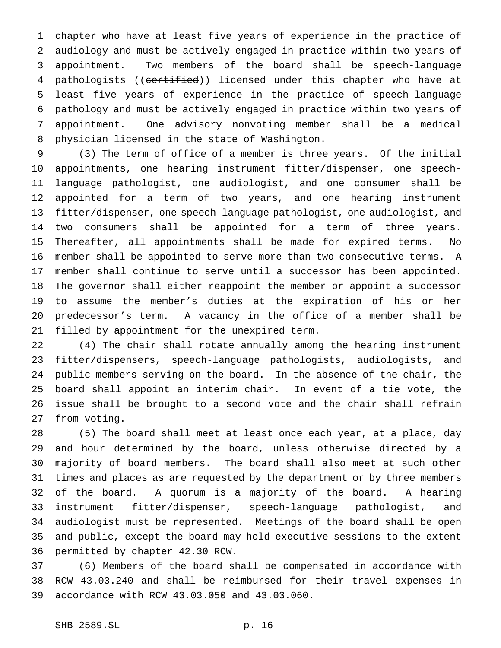chapter who have at least five years of experience in the practice of audiology and must be actively engaged in practice within two years of appointment. Two members of the board shall be speech-language 4 pathologists ((certified)) licensed under this chapter who have at least five years of experience in the practice of speech-language pathology and must be actively engaged in practice within two years of appointment. One advisory nonvoting member shall be a medical physician licensed in the state of Washington.

 (3) The term of office of a member is three years. Of the initial appointments, one hearing instrument fitter/dispenser, one speech- language pathologist, one audiologist, and one consumer shall be appointed for a term of two years, and one hearing instrument fitter/dispenser, one speech-language pathologist, one audiologist, and two consumers shall be appointed for a term of three years. Thereafter, all appointments shall be made for expired terms. No member shall be appointed to serve more than two consecutive terms. A member shall continue to serve until a successor has been appointed. The governor shall either reappoint the member or appoint a successor to assume the member's duties at the expiration of his or her predecessor's term. A vacancy in the office of a member shall be filled by appointment for the unexpired term.

 (4) The chair shall rotate annually among the hearing instrument fitter/dispensers, speech-language pathologists, audiologists, and public members serving on the board. In the absence of the chair, the board shall appoint an interim chair. In event of a tie vote, the issue shall be brought to a second vote and the chair shall refrain from voting.

 (5) The board shall meet at least once each year, at a place, day and hour determined by the board, unless otherwise directed by a majority of board members. The board shall also meet at such other times and places as are requested by the department or by three members of the board. A quorum is a majority of the board. A hearing instrument fitter/dispenser, speech-language pathologist, and audiologist must be represented. Meetings of the board shall be open and public, except the board may hold executive sessions to the extent permitted by chapter 42.30 RCW.

 (6) Members of the board shall be compensated in accordance with RCW 43.03.240 and shall be reimbursed for their travel expenses in accordance with RCW 43.03.050 and 43.03.060.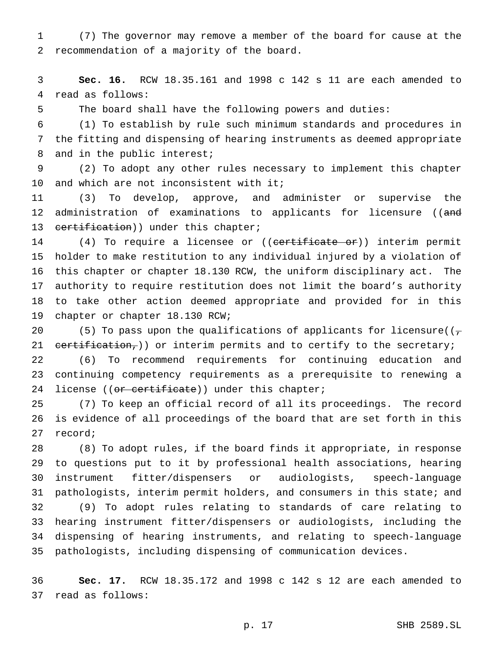(7) The governor may remove a member of the board for cause at the recommendation of a majority of the board.

 **Sec. 16.** RCW 18.35.161 and 1998 c 142 s 11 are each amended to read as follows:

The board shall have the following powers and duties:

 (1) To establish by rule such minimum standards and procedures in the fitting and dispensing of hearing instruments as deemed appropriate 8 and in the public interest;

 (2) To adopt any other rules necessary to implement this chapter 10 and which are not inconsistent with it;

 (3) To develop, approve, and administer or supervise the 12 administration of examinations to applicants for licensure ((and 13 certification)) under this chapter;

14 (4) To require a licensee or ((certificate or)) interim permit holder to make restitution to any individual injured by a violation of this chapter or chapter 18.130 RCW, the uniform disciplinary act. The authority to require restitution does not limit the board's authority to take other action deemed appropriate and provided for in this chapter or chapter 18.130 RCW;

20 (5) To pass upon the qualifications of applicants for licensure( $(\tau$ 21  $text{t-identity}$ ; or interim permits and to certify to the secretary;

 (6) To recommend requirements for continuing education and continuing competency requirements as a prerequisite to renewing a 24 license ((or certificate)) under this chapter;

 (7) To keep an official record of all its proceedings. The record is evidence of all proceedings of the board that are set forth in this record;

 (8) To adopt rules, if the board finds it appropriate, in response to questions put to it by professional health associations, hearing instrument fitter/dispensers or audiologists, speech-language pathologists, interim permit holders, and consumers in this state; and (9) To adopt rules relating to standards of care relating to hearing instrument fitter/dispensers or audiologists, including the dispensing of hearing instruments, and relating to speech-language pathologists, including dispensing of communication devices.

 **Sec. 17.** RCW 18.35.172 and 1998 c 142 s 12 are each amended to read as follows: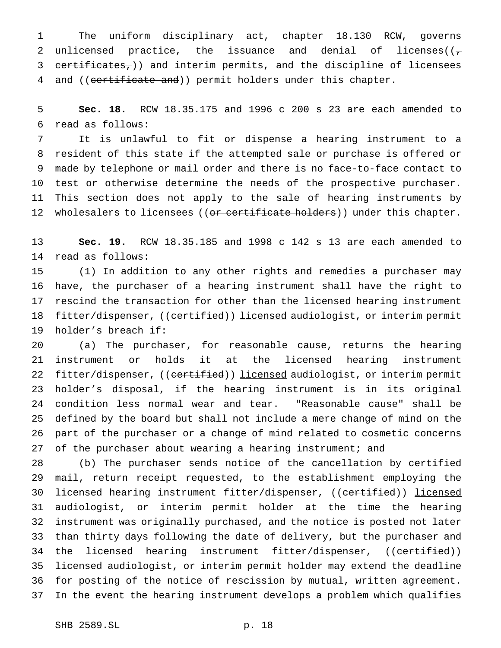The uniform disciplinary act, chapter 18.130 RCW, governs 2 unlicensed practice, the issuance and denial of licenses( $(\tau)$  certificates,)) and interim permits, and the discipline of licensees 4 and ((certificate and)) permit holders under this chapter.

 **Sec. 18.** RCW 18.35.175 and 1996 c 200 s 23 are each amended to read as follows:

 It is unlawful to fit or dispense a hearing instrument to a resident of this state if the attempted sale or purchase is offered or made by telephone or mail order and there is no face-to-face contact to test or otherwise determine the needs of the prospective purchaser. This section does not apply to the sale of hearing instruments by 12 wholesalers to licensees ((or certificate holders)) under this chapter.

 **Sec. 19.** RCW 18.35.185 and 1998 c 142 s 13 are each amended to read as follows:

 (1) In addition to any other rights and remedies a purchaser may have, the purchaser of a hearing instrument shall have the right to rescind the transaction for other than the licensed hearing instrument 18 fitter/dispenser, ((certified)) licensed audiologist, or interim permit holder's breach if:

 (a) The purchaser, for reasonable cause, returns the hearing instrument or holds it at the licensed hearing instrument 22 fitter/dispenser, ((certified)) licensed audiologist, or interim permit holder's disposal, if the hearing instrument is in its original condition less normal wear and tear. "Reasonable cause" shall be defined by the board but shall not include a mere change of mind on the part of the purchaser or a change of mind related to cosmetic concerns of the purchaser about wearing a hearing instrument; and

 (b) The purchaser sends notice of the cancellation by certified mail, return receipt requested, to the establishment employing the 30 licensed hearing instrument fitter/dispenser, ((certified)) licensed audiologist, or interim permit holder at the time the hearing instrument was originally purchased, and the notice is posted not later than thirty days following the date of delivery, but the purchaser and 34 the licensed hearing instrument fitter/dispenser, ((certified)) 35 licensed audiologist, or interim permit holder may extend the deadline for posting of the notice of rescission by mutual, written agreement. In the event the hearing instrument develops a problem which qualifies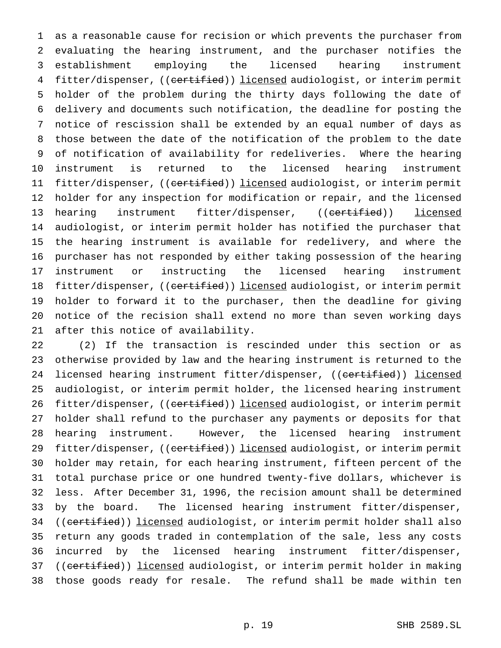as a reasonable cause for recision or which prevents the purchaser from evaluating the hearing instrument, and the purchaser notifies the establishment employing the licensed hearing instrument 4 fitter/dispenser, ((certified)) licensed audiologist, or interim permit holder of the problem during the thirty days following the date of delivery and documents such notification, the deadline for posting the notice of rescission shall be extended by an equal number of days as those between the date of the notification of the problem to the date of notification of availability for redeliveries. Where the hearing instrument is returned to the licensed hearing instrument 11 fitter/dispenser, ((certified)) licensed audiologist, or interim permit holder for any inspection for modification or repair, and the licensed 13 hearing instrument fitter/dispenser, ((certified)) licensed audiologist, or interim permit holder has notified the purchaser that the hearing instrument is available for redelivery, and where the purchaser has not responded by either taking possession of the hearing instrument or instructing the licensed hearing instrument 18 fitter/dispenser, ((certified)) licensed audiologist, or interim permit holder to forward it to the purchaser, then the deadline for giving notice of the recision shall extend no more than seven working days after this notice of availability.

 (2) If the transaction is rescinded under this section or as otherwise provided by law and the hearing instrument is returned to the 24 licensed hearing instrument fitter/dispenser, ((certified)) licensed audiologist, or interim permit holder, the licensed hearing instrument 26 fitter/dispenser, ((certified)) licensed audiologist, or interim permit holder shall refund to the purchaser any payments or deposits for that hearing instrument. However, the licensed hearing instrument 29 fitter/dispenser, ((certified)) licensed audiologist, or interim permit holder may retain, for each hearing instrument, fifteen percent of the total purchase price or one hundred twenty-five dollars, whichever is less. After December 31, 1996, the recision amount shall be determined by the board. The licensed hearing instrument fitter/dispenser, 34 ((certified)) licensed audiologist, or interim permit holder shall also return any goods traded in contemplation of the sale, less any costs incurred by the licensed hearing instrument fitter/dispenser, 37 ((certified)) licensed audiologist, or interim permit holder in making those goods ready for resale. The refund shall be made within ten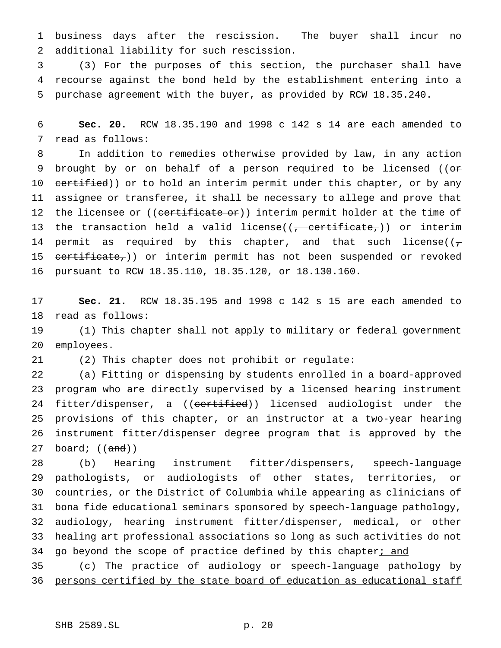business days after the rescission. The buyer shall incur no additional liability for such rescission.

 (3) For the purposes of this section, the purchaser shall have recourse against the bond held by the establishment entering into a purchase agreement with the buyer, as provided by RCW 18.35.240.

 **Sec. 20.** RCW 18.35.190 and 1998 c 142 s 14 are each amended to read as follows:

 In addition to remedies otherwise provided by law, in any action 9 brought by or on behalf of a person required to be licensed ((or 10 certified)) or to hold an interim permit under this chapter, or by any assignee or transferee, it shall be necessary to allege and prove that 12 the licensee or ((certificate or)) interim permit holder at the time of 13 the transaction held a valid license( $(-$  certificate,)) or interim 14 permit as required by this chapter, and that such license( $(\tau)$ 15 certificate,)) or interim permit has not been suspended or revoked pursuant to RCW 18.35.110, 18.35.120, or 18.130.160.

 **Sec. 21.** RCW 18.35.195 and 1998 c 142 s 15 are each amended to read as follows:

 (1) This chapter shall not apply to military or federal government employees.

(2) This chapter does not prohibit or regulate:

 (a) Fitting or dispensing by students enrolled in a board-approved program who are directly supervised by a licensed hearing instrument 24 fitter/dispenser, a ((certified)) licensed audiologist under the provisions of this chapter, or an instructor at a two-year hearing instrument fitter/dispenser degree program that is approved by the 27 board;  $((and))$ 

 (b) Hearing instrument fitter/dispensers, speech-language pathologists, or audiologists of other states, territories, or countries, or the District of Columbia while appearing as clinicians of bona fide educational seminars sponsored by speech-language pathology, audiology, hearing instrument fitter/dispenser, medical, or other healing art professional associations so long as such activities do not 34 go beyond the scope of practice defined by this chapter; and

 (c) The practice of audiology or speech-language pathology by persons certified by the state board of education as educational staff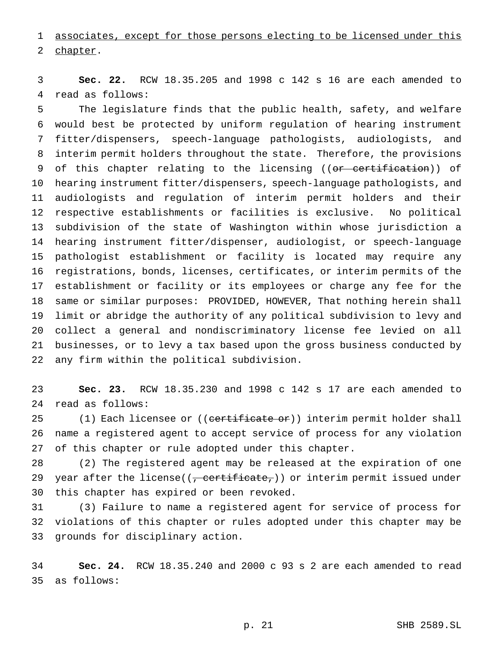associates, except for those persons electing to be licensed under this chapter.

 **Sec. 22.** RCW 18.35.205 and 1998 c 142 s 16 are each amended to read as follows:

 The legislature finds that the public health, safety, and welfare would best be protected by uniform regulation of hearing instrument fitter/dispensers, speech-language pathologists, audiologists, and interim permit holders throughout the state. Therefore, the provisions 9 of this chapter relating to the licensing ((<del>or certification</del>)) of hearing instrument fitter/dispensers, speech-language pathologists, and audiologists and regulation of interim permit holders and their respective establishments or facilities is exclusive. No political subdivision of the state of Washington within whose jurisdiction a hearing instrument fitter/dispenser, audiologist, or speech-language pathologist establishment or facility is located may require any registrations, bonds, licenses, certificates, or interim permits of the establishment or facility or its employees or charge any fee for the same or similar purposes: PROVIDED, HOWEVER, That nothing herein shall limit or abridge the authority of any political subdivision to levy and collect a general and nondiscriminatory license fee levied on all businesses, or to levy a tax based upon the gross business conducted by any firm within the political subdivision.

 **Sec. 23.** RCW 18.35.230 and 1998 c 142 s 17 are each amended to read as follows:

25 (1) Each licensee or ((certificate or)) interim permit holder shall name a registered agent to accept service of process for any violation of this chapter or rule adopted under this chapter.

 (2) The registered agent may be released at the expiration of one 29 year after the license( $(\tau$  certificate,)) or interim permit issued under this chapter has expired or been revoked.

 (3) Failure to name a registered agent for service of process for violations of this chapter or rules adopted under this chapter may be grounds for disciplinary action.

 **Sec. 24.** RCW 18.35.240 and 2000 c 93 s 2 are each amended to read as follows: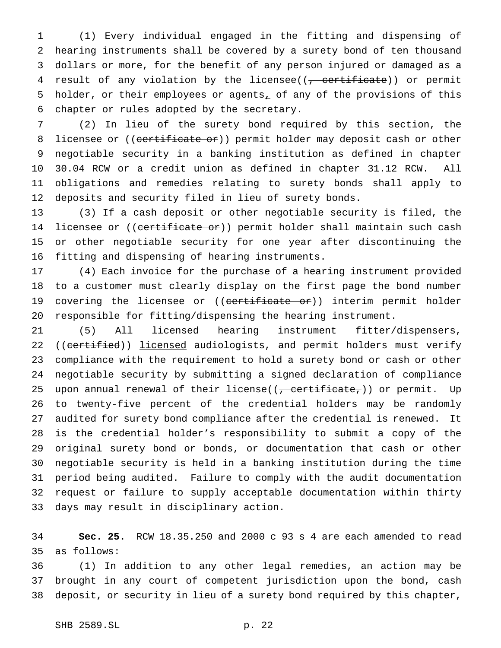(1) Every individual engaged in the fitting and dispensing of hearing instruments shall be covered by a surety bond of ten thousand dollars or more, for the benefit of any person injured or damaged as a 4 result of any violation by the licensee((, certificate)) or permit 5 holder, or their employees or agents<sub> $\bot$ </sub> of any of the provisions of this chapter or rules adopted by the secretary.

 (2) In lieu of the surety bond required by this section, the 8 licensee or ((certificate or)) permit holder may deposit cash or other negotiable security in a banking institution as defined in chapter 30.04 RCW or a credit union as defined in chapter 31.12 RCW. All obligations and remedies relating to surety bonds shall apply to deposits and security filed in lieu of surety bonds.

 (3) If a cash deposit or other negotiable security is filed, the 14 licensee or ((certificate or)) permit holder shall maintain such cash or other negotiable security for one year after discontinuing the fitting and dispensing of hearing instruments.

 (4) Each invoice for the purchase of a hearing instrument provided to a customer must clearly display on the first page the bond number 19 covering the licensee or ((certificate or)) interim permit holder responsible for fitting/dispensing the hearing instrument.

 (5) All licensed hearing instrument fitter/dispensers, 22 ((certified)) licensed audiologists, and permit holders must verify compliance with the requirement to hold a surety bond or cash or other negotiable security by submitting a signed declaration of compliance 25 upon annual renewal of their license( $(\tau,$  certificate $\tau$ )) or permit. Up to twenty-five percent of the credential holders may be randomly audited for surety bond compliance after the credential is renewed. It is the credential holder's responsibility to submit a copy of the original surety bond or bonds, or documentation that cash or other negotiable security is held in a banking institution during the time period being audited. Failure to comply with the audit documentation request or failure to supply acceptable documentation within thirty days may result in disciplinary action.

 **Sec. 25.** RCW 18.35.250 and 2000 c 93 s 4 are each amended to read as follows:

 (1) In addition to any other legal remedies, an action may be brought in any court of competent jurisdiction upon the bond, cash deposit, or security in lieu of a surety bond required by this chapter,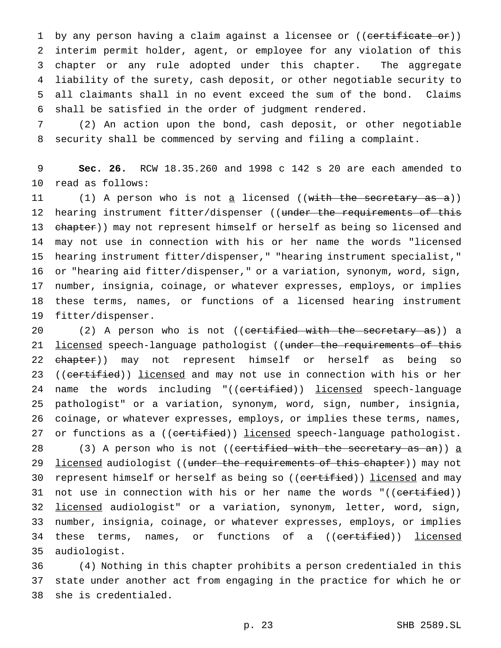1 by any person having a claim against a licensee or ((certificate or)) interim permit holder, agent, or employee for any violation of this chapter or any rule adopted under this chapter. The aggregate liability of the surety, cash deposit, or other negotiable security to all claimants shall in no event exceed the sum of the bond. Claims shall be satisfied in the order of judgment rendered.

7 (2) An action upon the bond, cash deposit, or other negotiable 8 security shall be commenced by serving and filing a complaint.

9 **Sec. 26.** RCW 18.35.260 and 1998 c 142 s 20 are each amended to 10 read as follows:

11 (1) A person who is not a licensed ((with the secretary as a)) 12 hearing instrument fitter/dispenser ((under the requirements of this 13 chapter)) may not represent himself or herself as being so licensed and may not use in connection with his or her name the words "licensed hearing instrument fitter/dispenser," "hearing instrument specialist," or "hearing aid fitter/dispenser," or a variation, synonym, word, sign, number, insignia, coinage, or whatever expresses, employs, or implies these terms, names, or functions of a licensed hearing instrument fitter/dispenser.

20 (2) A person who is not ((certified with the secretary as)) a 21 <u>licensed</u> speech-language pathologist ((under the requirements of this 22 chapter)) may not represent himself or herself as being so 23 ((certified)) licensed and may not use in connection with his or her 24 name the words including "((certified)) licensed speech-language 25 pathologist" or a variation, synonym, word, sign, number, insignia, 26 coinage, or whatever expresses, employs, or implies these terms, names, 27 or functions as a ((certified)) licensed speech-language pathologist.

28 (3) A person who is not ((certified with the secretary as an)) a 29 licensed audiologist ((under the requirements of this chapter)) may not 30 represent himself or herself as being so ((certified)) licensed and may 31 not use in connection with his or her name the words "((<del>certified</del>)) 32 licensed audiologist" or a variation, synonym, letter, word, sign, 33 number, insignia, coinage, or whatever expresses, employs, or implies 34 these terms, names, or functions of a ((<del>certified</del>)) <u>licensed</u> 35 audiologist.

36 (4) Nothing in this chapter prohibits a person credentialed in this 37 state under another act from engaging in the practice for which he or 38 she is credentialed.